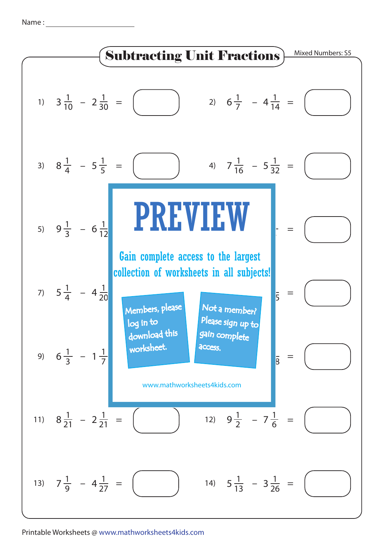